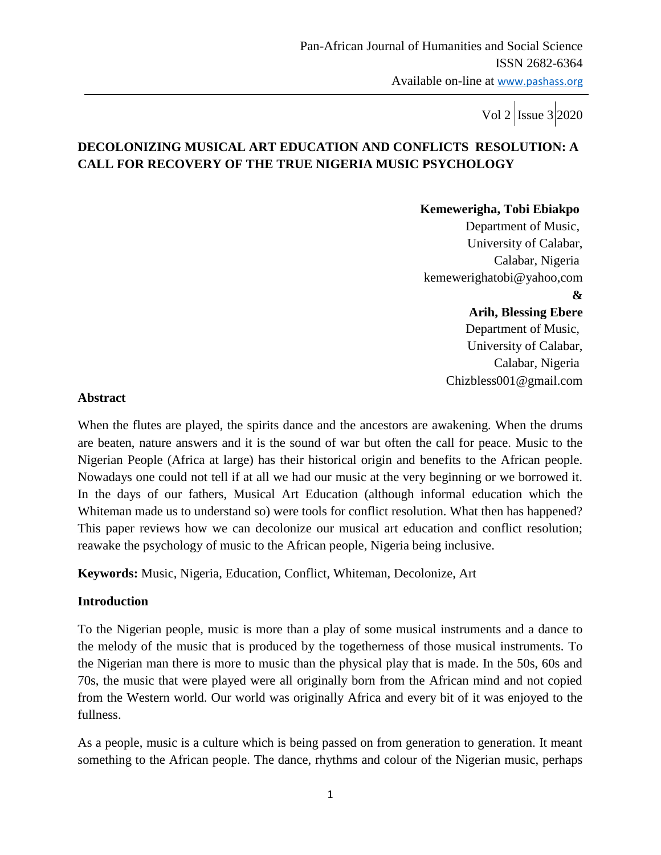# **DECOLONIZING MUSICAL ART EDUCATION AND CONFLICTS RESOLUTION: A CALL FOR RECOVERY OF THE TRUE NIGERIA MUSIC PSYCHOLOGY**

#### **Kemewerigha, Tobi Ebiakpo**

Department of Music, University of Calabar, Calabar, Nigeria kemewerighatobi@yahoo,com

 **&**

### **Arih, Blessing Ebere**

Department of Music, University of Calabar, Calabar, Nigeria Chizbless001@gmail.com

#### **Abstract**

When the flutes are played, the spirits dance and the ancestors are awakening. When the drums are beaten, nature answers and it is the sound of war but often the call for peace. Music to the Nigerian People (Africa at large) has their historical origin and benefits to the African people. Nowadays one could not tell if at all we had our music at the very beginning or we borrowed it. In the days of our fathers, Musical Art Education (although informal education which the Whiteman made us to understand so) were tools for conflict resolution. What then has happened? This paper reviews how we can decolonize our musical art education and conflict resolution; reawake the psychology of music to the African people, Nigeria being inclusive.

**Keywords:** Music, Nigeria, Education, Conflict, Whiteman, Decolonize, Art

### **Introduction**

To the Nigerian people, music is more than a play of some musical instruments and a dance to the melody of the music that is produced by the togetherness of those musical instruments. To the Nigerian man there is more to music than the physical play that is made. In the 50s, 60s and 70s, the music that were played were all originally born from the African mind and not copied from the Western world. Our world was originally Africa and every bit of it was enjoyed to the fullness.

As a people, music is a culture which is being passed on from generation to generation. It meant something to the African people. The dance, rhythms and colour of the Nigerian music, perhaps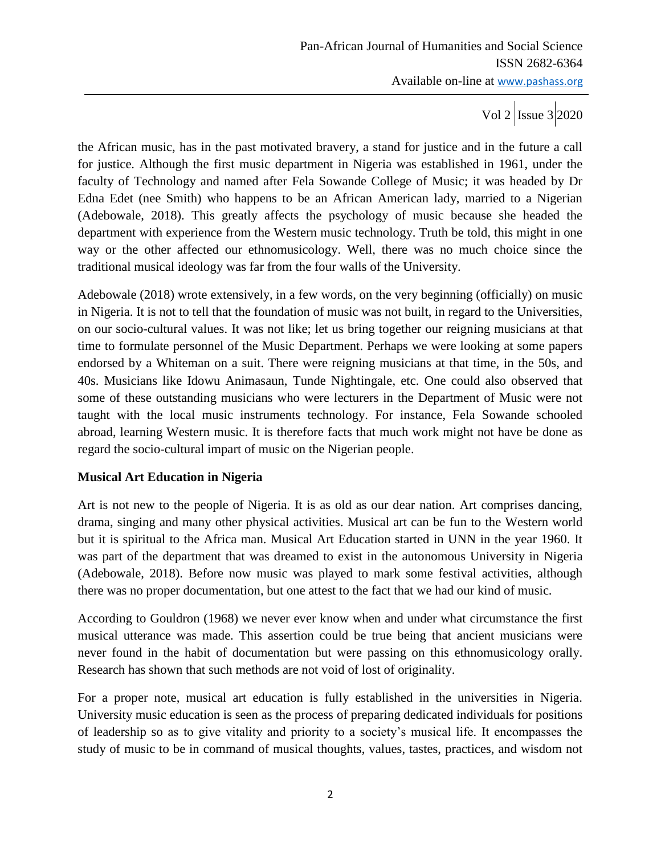Vol 2  $\vert$  Issue 3 2020

the African music, has in the past motivated bravery, a stand for justice and in the future a call for justice. Although the first music department in Nigeria was established in 1961, under the faculty of Technology and named after Fela Sowande College of Music; it was headed by Dr Edna Edet (nee Smith) who happens to be an African American lady, married to a Nigerian (Adebowale, 2018). This greatly affects the psychology of music because she headed the department with experience from the Western music technology. Truth be told, this might in one way or the other affected our ethnomusicology. Well, there was no much choice since the traditional musical ideology was far from the four walls of the University.

Adebowale (2018) wrote extensively, in a few words, on the very beginning (officially) on music in Nigeria. It is not to tell that the foundation of music was not built, in regard to the Universities, on our socio-cultural values. It was not like; let us bring together our reigning musicians at that time to formulate personnel of the Music Department. Perhaps we were looking at some papers endorsed by a Whiteman on a suit. There were reigning musicians at that time, in the 50s, and 40s. Musicians like Idowu Animasaun, Tunde Nightingale, etc. One could also observed that some of these outstanding musicians who were lecturers in the Department of Music were not taught with the local music instruments technology. For instance, Fela Sowande schooled abroad, learning Western music. It is therefore facts that much work might not have be done as regard the socio-cultural impart of music on the Nigerian people.

### **Musical Art Education in Nigeria**

Art is not new to the people of Nigeria. It is as old as our dear nation. Art comprises dancing, drama, singing and many other physical activities. Musical art can be fun to the Western world but it is spiritual to the Africa man. Musical Art Education started in UNN in the year 1960. It was part of the department that was dreamed to exist in the autonomous University in Nigeria (Adebowale, 2018). Before now music was played to mark some festival activities, although there was no proper documentation, but one attest to the fact that we had our kind of music.

According to Gouldron (1968) we never ever know when and under what circumstance the first musical utterance was made. This assertion could be true being that ancient musicians were never found in the habit of documentation but were passing on this ethnomusicology orally. Research has shown that such methods are not void of lost of originality.

For a proper note, musical art education is fully established in the universities in Nigeria. University music education is seen as the process of preparing dedicated individuals for positions of leadership so as to give vitality and priority to a society"s musical life. It encompasses the study of music to be in command of musical thoughts, values, tastes, practices, and wisdom not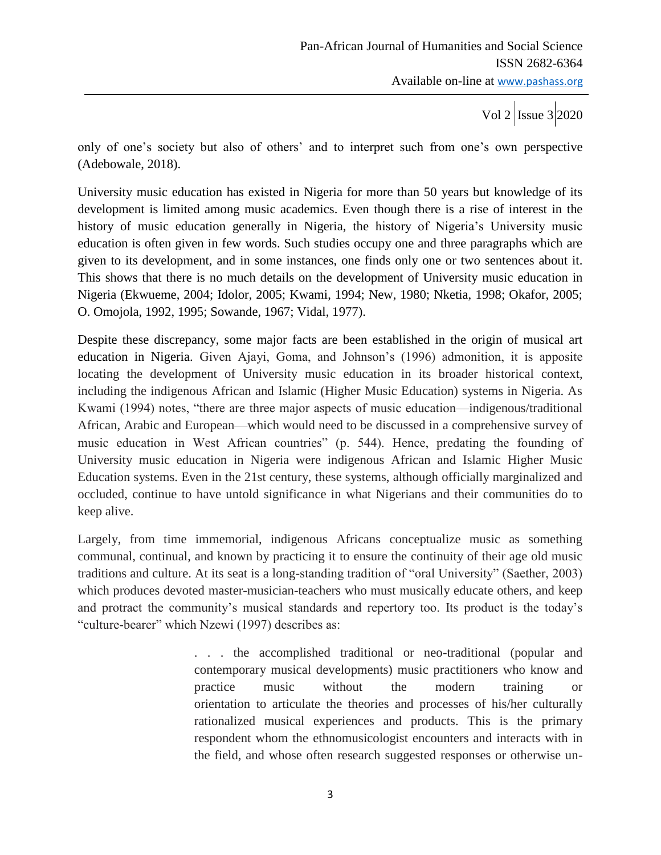only of one's society but also of others' and to interpret such from one's own perspective (Adebowale, 2018).

University music education has existed in Nigeria for more than 50 years but knowledge of its development is limited among music academics. Even though there is a rise of interest in the history of music education generally in Nigeria, the history of Nigeria's University music education is often given in few words. Such studies occupy one and three paragraphs which are given to its development, and in some instances, one finds only one or two sentences about it. This shows that there is no much details on the development of University music education in Nigeria (Ekwueme, 2004; Idolor, 2005; Kwami, 1994; New, 1980; Nketia, 1998; Okafor, 2005; O. Omojola, 1992, 1995; Sowande, 1967; Vidal, 1977).

Despite these discrepancy, some major facts are been established in the origin of musical art education in Nigeria. Given Ajayi, Goma, and Johnson's (1996) admonition, it is apposite locating the development of University music education in its broader historical context, including the indigenous African and Islamic (Higher Music Education) systems in Nigeria. As Kwami (1994) notes, "there are three major aspects of music education—indigenous/traditional African, Arabic and European—which would need to be discussed in a comprehensive survey of music education in West African countries" (p. 544). Hence, predating the founding of University music education in Nigeria were indigenous African and Islamic Higher Music Education systems. Even in the 21st century, these systems, although officially marginalized and occluded, continue to have untold significance in what Nigerians and their communities do to keep alive.

Largely, from time immemorial, indigenous Africans conceptualize music as something communal, continual, and known by practicing it to ensure the continuity of their age old music traditions and culture. At its seat is a long-standing tradition of "oral University" (Saether, 2003) which produces devoted master-musician-teachers who must musically educate others, and keep and protract the community's musical standards and repertory too. Its product is the today's "culture-bearer" which Nzewi (1997) describes as:

> . . . the accomplished traditional or neo-traditional (popular and contemporary musical developments) music practitioners who know and practice music without the modern training or orientation to articulate the theories and processes of his/her culturally rationalized musical experiences and products. This is the primary respondent whom the ethnomusicologist encounters and interacts with in the field, and whose often research suggested responses or otherwise un-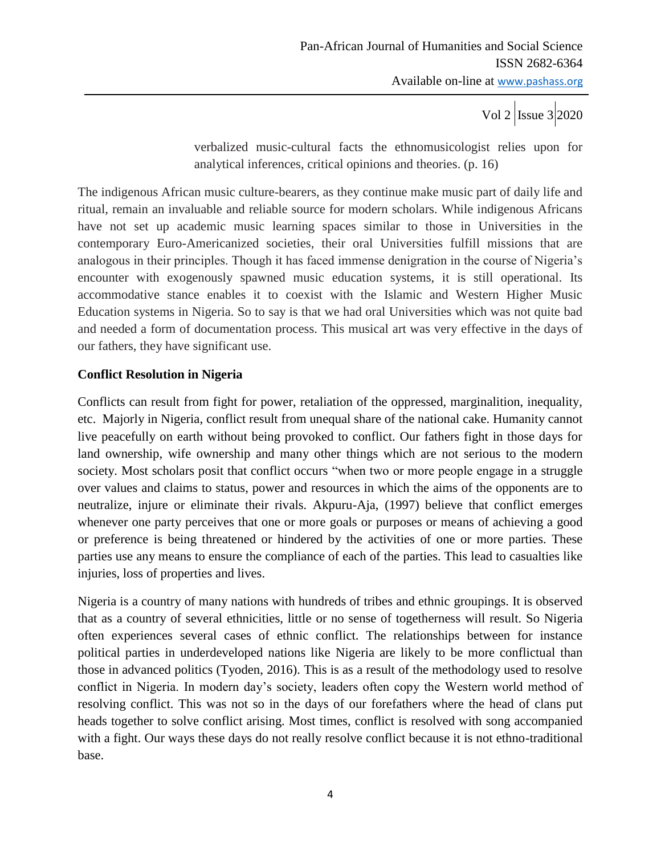Vol 2  $\vert$ Issue 3 2020

verbalized music-cultural facts the ethnomusicologist relies upon for analytical inferences, critical opinions and theories. (p. 16)

The indigenous African music culture-bearers, as they continue make music part of daily life and ritual, remain an invaluable and reliable source for modern scholars. While indigenous Africans have not set up academic music learning spaces similar to those in Universities in the contemporary Euro-Americanized societies, their oral Universities fulfill missions that are analogous in their principles. Though it has faced immense denigration in the course of Nigeria"s encounter with exogenously spawned music education systems, it is still operational. Its accommodative stance enables it to coexist with the Islamic and Western Higher Music Education systems in Nigeria. So to say is that we had oral Universities which was not quite bad and needed a form of documentation process. This musical art was very effective in the days of our fathers, they have significant use.

### **Conflict Resolution in Nigeria**

Conflicts can result from fight for power, retaliation of the oppressed, marginalition, inequality, etc. Majorly in Nigeria, conflict result from unequal share of the national cake. Humanity cannot live peacefully on earth without being provoked to conflict. Our fathers fight in those days for land ownership, wife ownership and many other things which are not serious to the modern society. Most scholars posit that conflict occurs "when two or more people engage in a struggle over values and claims to status, power and resources in which the aims of the opponents are to neutralize, injure or eliminate their rivals. Akpuru-Aja, (1997) believe that conflict emerges whenever one party perceives that one or more goals or purposes or means of achieving a good or preference is being threatened or hindered by the activities of one or more parties. These parties use any means to ensure the compliance of each of the parties. This lead to casualties like injuries, loss of properties and lives.

Nigeria is a country of many nations with hundreds of tribes and ethnic groupings. It is observed that as a country of several ethnicities, little or no sense of togetherness will result. So Nigeria often experiences several cases of ethnic conflict. The relationships between for instance political parties in underdeveloped nations like Nigeria are likely to be more conflictual than those in advanced politics (Tyoden, 2016). This is as a result of the methodology used to resolve conflict in Nigeria. In modern day"s society, leaders often copy the Western world method of resolving conflict. This was not so in the days of our forefathers where the head of clans put heads together to solve conflict arising. Most times, conflict is resolved with song accompanied with a fight. Our ways these days do not really resolve conflict because it is not ethno-traditional base.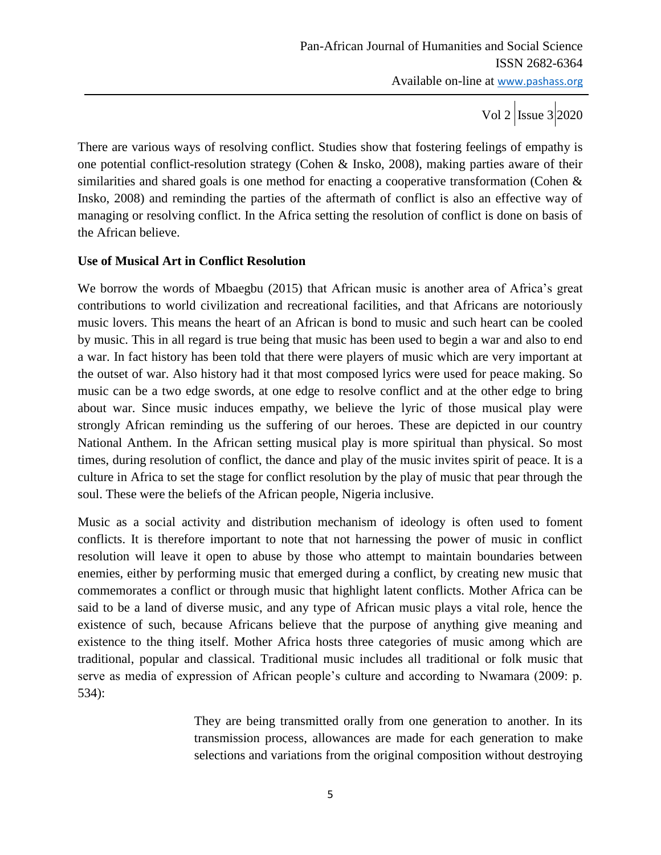Vol 2  $\vert$ Issue 3 2020

There are various ways of resolving conflict. Studies show that fostering feelings of empathy is one potential conflict-resolution strategy (Cohen & Insko, 2008), making parties aware of their similarities and shared goals is one method for enacting a cooperative transformation (Cohen & Insko, 2008) and reminding the parties of the aftermath of conflict is also an effective way of managing or resolving conflict. In the Africa setting the resolution of conflict is done on basis of the African believe.

#### **Use of Musical Art in Conflict Resolution**

We borrow the words of Mbaegbu (2015) that African music is another area of Africa's great contributions to world civilization and recreational facilities, and that Africans are notoriously music lovers. This means the heart of an African is bond to music and such heart can be cooled by music. This in all regard is true being that music has been used to begin a war and also to end a war. In fact history has been told that there were players of music which are very important at the outset of war. Also history had it that most composed lyrics were used for peace making. So music can be a two edge swords, at one edge to resolve conflict and at the other edge to bring about war. Since music induces empathy, we believe the lyric of those musical play were strongly African reminding us the suffering of our heroes. These are depicted in our country National Anthem. In the African setting musical play is more spiritual than physical. So most times, during resolution of conflict, the dance and play of the music invites spirit of peace. It is a culture in Africa to set the stage for conflict resolution by the play of music that pear through the soul. These were the beliefs of the African people, Nigeria inclusive.

Music as a social activity and distribution mechanism of ideology is often used to foment conflicts. It is therefore important to note that not harnessing the power of music in conflict resolution will leave it open to abuse by those who attempt to maintain boundaries between enemies, either by performing music that emerged during a conflict, by creating new music that commemorates a conflict or through music that highlight latent conflicts. Mother Africa can be said to be a land of diverse music, and any type of African music plays a vital role, hence the existence of such, because Africans believe that the purpose of anything give meaning and existence to the thing itself. Mother Africa hosts three categories of music among which are traditional, popular and classical. Traditional music includes all traditional or folk music that serve as media of expression of African people's culture and according to Nwamara (2009: p. 534):

> They are being transmitted orally from one generation to another. In its transmission process, allowances are made for each generation to make selections and variations from the original composition without destroying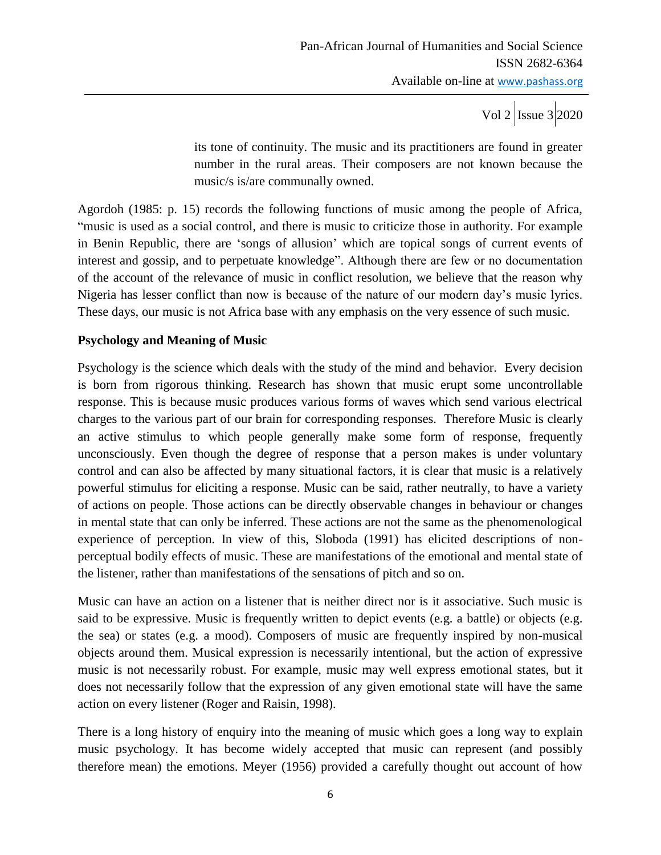its tone of continuity. The music and its practitioners are found in greater number in the rural areas. Their composers are not known because the music/s is/are communally owned.

Agordoh (1985: p. 15) records the following functions of music among the people of Africa, "music is used as a social control, and there is music to criticize those in authority. For example in Benin Republic, there are "songs of allusion" which are topical songs of current events of interest and gossip, and to perpetuate knowledge". Although there are few or no documentation of the account of the relevance of music in conflict resolution, we believe that the reason why Nigeria has lesser conflict than now is because of the nature of our modern day"s music lyrics. These days, our music is not Africa base with any emphasis on the very essence of such music.

### **Psychology and Meaning of Music**

Psychology is the science which deals with the study of the mind and behavior. Every decision is born from rigorous thinking. Research has shown that music erupt some uncontrollable response. This is because music produces various forms of waves which send various electrical charges to the various part of our brain for corresponding responses. Therefore Music is clearly an active stimulus to which people generally make some form of response, frequently unconsciously. Even though the degree of response that a person makes is under voluntary control and can also be affected by many situational factors, it is clear that music is a relatively powerful stimulus for eliciting a response. Music can be said, rather neutrally, to have a variety of actions on people. Those actions can be directly observable changes in behaviour or changes in mental state that can only be inferred. These actions are not the same as the phenomenological experience of perception. In view of this, Sloboda (1991) has elicited descriptions of nonperceptual bodily effects of music. These are manifestations of the emotional and mental state of the listener, rather than manifestations of the sensations of pitch and so on.

Music can have an action on a listener that is neither direct nor is it associative. Such music is said to be expressive. Music is frequently written to depict events (e.g. a battle) or objects (e.g. the sea) or states (e.g. a mood). Composers of music are frequently inspired by non-musical objects around them. Musical expression is necessarily intentional, but the action of expressive music is not necessarily robust. For example, music may well express emotional states, but it does not necessarily follow that the expression of any given emotional state will have the same action on every listener (Roger and Raisin, 1998).

There is a long history of enquiry into the meaning of music which goes a long way to explain music psychology. It has become widely accepted that music can represent (and possibly therefore mean) the emotions. Meyer (1956) provided a carefully thought out account of how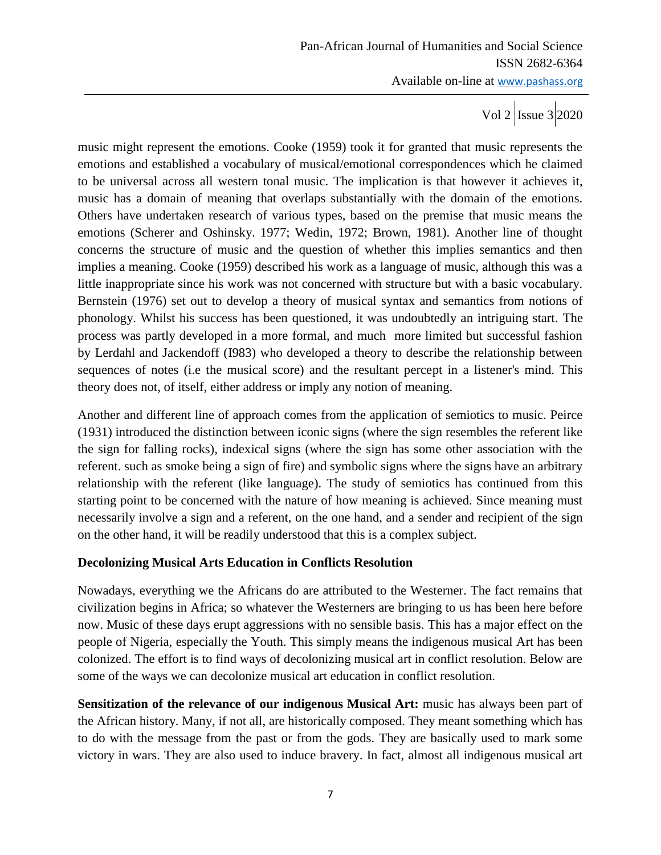Vol 2  $\vert$  Issue 3 2020

music might represent the emotions. Cooke (1959) took it for granted that music represents the emotions and established a vocabulary of musical/emotional correspondences which he claimed to be universal across all western tonal music. The implication is that however it achieves it, music has a domain of meaning that overlaps substantially with the domain of the emotions. Others have undertaken research of various types, based on the premise that music means the emotions (Scherer and Oshinsky. 1977; Wedin, 1972; Brown, 1981). Another line of thought concerns the structure of music and the question of whether this implies semantics and then implies a meaning. Cooke (1959) described his work as a language of music, although this was a little inappropriate since his work was not concerned with structure but with a basic vocabulary. Bernstein (1976) set out to develop a theory of musical syntax and semantics from notions of phonology. Whilst his success has been questioned, it was undoubtedly an intriguing start. The process was partly developed in a more formal, and much more limited but successful fashion by Lerdahl and Jackendoff (I983) who developed a theory to describe the relationship between sequences of notes (i.e the musical score) and the resultant percept in a listener's mind. This theory does not, of itself, either address or imply any notion of meaning.

Another and different line of approach comes from the application of semiotics to music. Peirce (1931) introduced the distinction between iconic signs (where the sign resembles the referent like the sign for falling rocks), indexical signs (where the sign has some other association with the referent. such as smoke being a sign of fire) and symbolic signs where the signs have an arbitrary relationship with the referent (like language). The study of semiotics has continued from this starting point to be concerned with the nature of how meaning is achieved. Since meaning must necessarily involve a sign and a referent, on the one hand, and a sender and recipient of the sign on the other hand, it will be readily understood that this is a complex subject.

### **Decolonizing Musical Arts Education in Conflicts Resolution**

Nowadays, everything we the Africans do are attributed to the Westerner. The fact remains that civilization begins in Africa; so whatever the Westerners are bringing to us has been here before now. Music of these days erupt aggressions with no sensible basis. This has a major effect on the people of Nigeria, especially the Youth. This simply means the indigenous musical Art has been colonized. The effort is to find ways of decolonizing musical art in conflict resolution. Below are some of the ways we can decolonize musical art education in conflict resolution.

**Sensitization of the relevance of our indigenous Musical Art:** music has always been part of the African history. Many, if not all, are historically composed. They meant something which has to do with the message from the past or from the gods. They are basically used to mark some victory in wars. They are also used to induce bravery. In fact, almost all indigenous musical art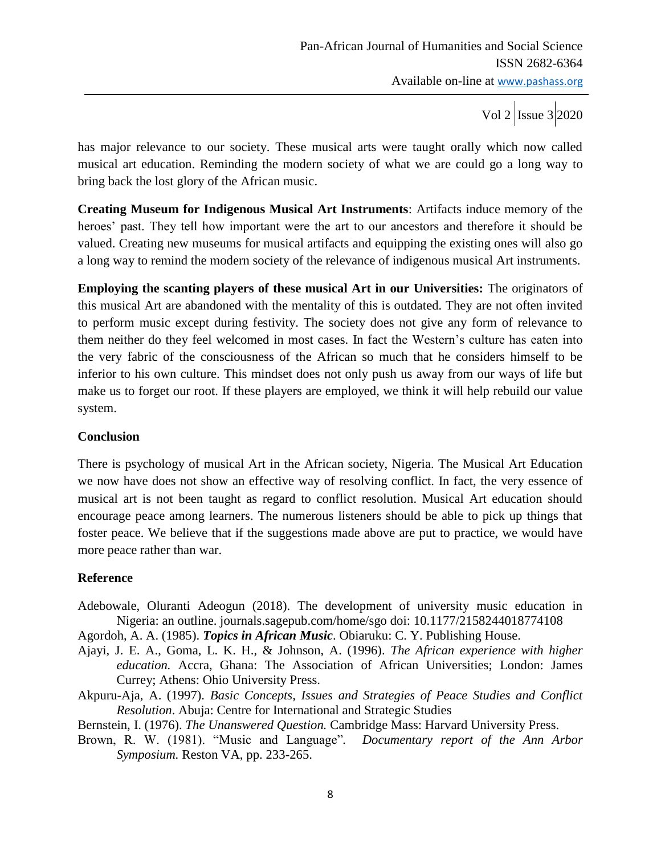has major relevance to our society. These musical arts were taught orally which now called musical art education. Reminding the modern society of what we are could go a long way to bring back the lost glory of the African music.

**Creating Museum for Indigenous Musical Art Instruments**: Artifacts induce memory of the heroes' past. They tell how important were the art to our ancestors and therefore it should be valued. Creating new museums for musical artifacts and equipping the existing ones will also go a long way to remind the modern society of the relevance of indigenous musical Art instruments.

**Employing the scanting players of these musical Art in our Universities:** The originators of this musical Art are abandoned with the mentality of this is outdated. They are not often invited to perform music except during festivity. The society does not give any form of relevance to them neither do they feel welcomed in most cases. In fact the Western"s culture has eaten into the very fabric of the consciousness of the African so much that he considers himself to be inferior to his own culture. This mindset does not only push us away from our ways of life but make us to forget our root. If these players are employed, we think it will help rebuild our value system.

### **Conclusion**

There is psychology of musical Art in the African society, Nigeria. The Musical Art Education we now have does not show an effective way of resolving conflict. In fact, the very essence of musical art is not been taught as regard to conflict resolution. Musical Art education should encourage peace among learners. The numerous listeners should be able to pick up things that foster peace. We believe that if the suggestions made above are put to practice, we would have more peace rather than war.

## **Reference**

Adebowale, Oluranti Adeogun (2018). The development of university music education in Nigeria: an outline. journals.sagepub.com/home/sgo doi: 10.1177/2158244018774108

Agordoh, A. A. (1985). *Topics in African Music*. Obiaruku: C. Y. Publishing House.

- Ajayi, J. E. A., Goma, L. K. H., & Johnson, A. (1996). *The African experience with higher education.* Accra, Ghana: The Association of African Universities; London: James Currey; Athens: Ohio University Press.
- Akpuru-Aja, A. (1997). *Basic Concepts, Issues and Strategies of Peace Studies and Conflict Resolution*. Abuja: Centre for International and Strategic Studies

Bernstein, I. (1976). *The Unanswered Question.* Cambridge Mass: Harvard University Press.

Brown, R. W. (1981). "Music and Language"*. Documentary report of the Ann Arbor Symposium.* Reston VA, pp. 233-265.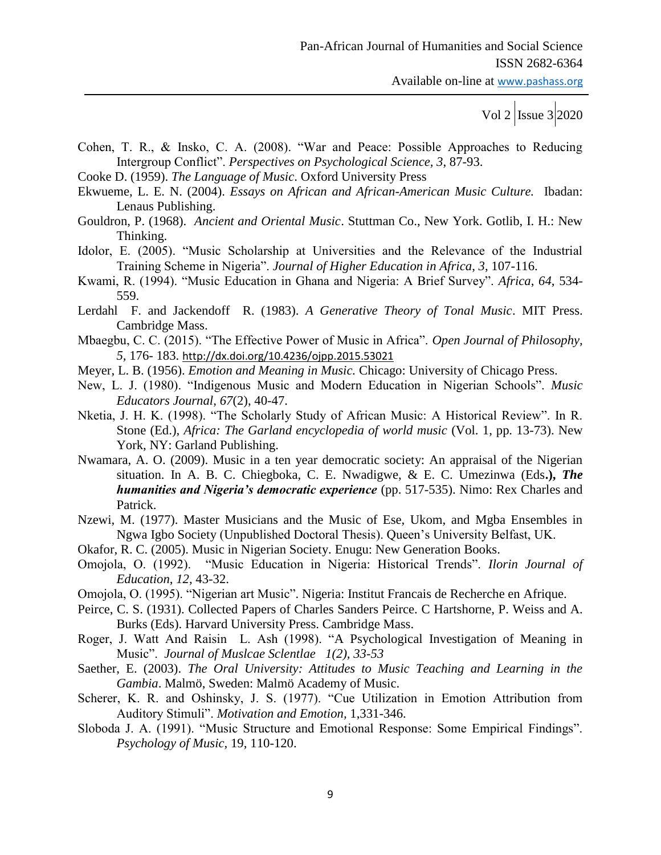Available on-line at www.pashass.org

Vol 2  $|{\rm Issue 3}|2020$ 

- Cohen, T. R., & Insko, C. A. (2008). "War and Peace: Possible Approaches to Reducing Intergroup Conflict". *Perspectives on Psychological Science, 3*, 87-93.
- Cooke D. (1959). *The Language of Music*. Oxford University Press
- Ekwueme, L. E. N. (2004). *Essays on African and African-American Music Culture.* Ibadan: Lenaus Publishing.
- Gouldron, P. (1968). *Ancient and Oriental Music*. Stuttman Co., New York. Gotlib, I. H.: New Thinking.
- Idolor, E. (2005). "Music Scholarship at Universities and the Relevance of the Industrial Training Scheme in Nigeria". *Journal of Higher Education in Africa*, *3*, 107-116.
- Kwami, R. (1994). "Music Education in Ghana and Nigeria: A Brief Survey". *Africa*, *64*, 534- 559.

Lerdahl F. and Jackendoff R. (1983). *A Generative Theory of Tonal Music*. MIT Press. Cambridge Mass.

- Mbaegbu, C. C. (2015). "The Effective Power of Music in Africa". *Open Journal of Philosophy, 5,* 176- 183. <http://dx.doi.org/10.4236/ojpp.2015.53021>
- Meyer, L. B. (1956). *Emotion and Meaning in Music.* Chicago: University of Chicago Press.
- New, L. J. (1980). "Indigenous Music and Modern Education in Nigerian Schools". *Music Educators Journal*, *67*(2), 40-47.
- Nketia, J. H. K. (1998). "The Scholarly Study of African Music: A Historical Review". In R. Stone (Ed.), *Africa: The Garland encyclopedia of world music* (Vol. 1, pp. 13-73). New York, NY: Garland Publishing.
- Nwamara, A. O. (2009). Music in a ten year democratic society: An appraisal of the Nigerian situation. In A. B. C. Chiegboka, C. E. Nwadigwe, & E. C. Umezinwa (Eds**.),** *The humanities and Nigeria's democratic experience* (pp. 517-535). Nimo: Rex Charles and Patrick.
- Nzewi, M. (1977). Master Musicians and the Music of Ese, Ukom, and Mgba Ensembles in Ngwa Igbo Society (Unpublished Doctoral Thesis). Queen"s University Belfast, UK.
- Okafor, R. C. (2005). Music in Nigerian Society. Enugu: New Generation Books.
- Omojola, O. (1992). "Music Education in Nigeria: Historical Trends". *Ilorin Journal of Education*, *12*, 43-32.
- Omojola, O. (1995). "Nigerian art Music". Nigeria: Institut Francais de Recherche en Afrique.
- Peirce, C. S. (1931). Collected Papers of Charles Sanders Peirce. C Hartshorne, P. Weiss and A. Burks (Eds). Harvard University Press. Cambridge Mass.
- Roger, J. Watt And Raisin L. Ash (1998). "A Psychological Investigation of Meaning in Music". *Journal of Muslcae Sclentlae 1(2), 33-53*
- Saether, E. (2003). *The Oral University: Attitudes to Music Teaching and Learning in the Gambia*. Malmö, Sweden: Malmö Academy of Music.
- Scherer, K. R. and Oshinsky, J. S. (1977). "Cue Utilization in Emotion Attribution from Auditory Stimuli". *Motivation and Emotion,* 1,331-346.
- Sloboda J. A. (1991). "Music Structure and Emotional Response: Some Empirical Findings". *Psychology of Music,* 19, 110-120.